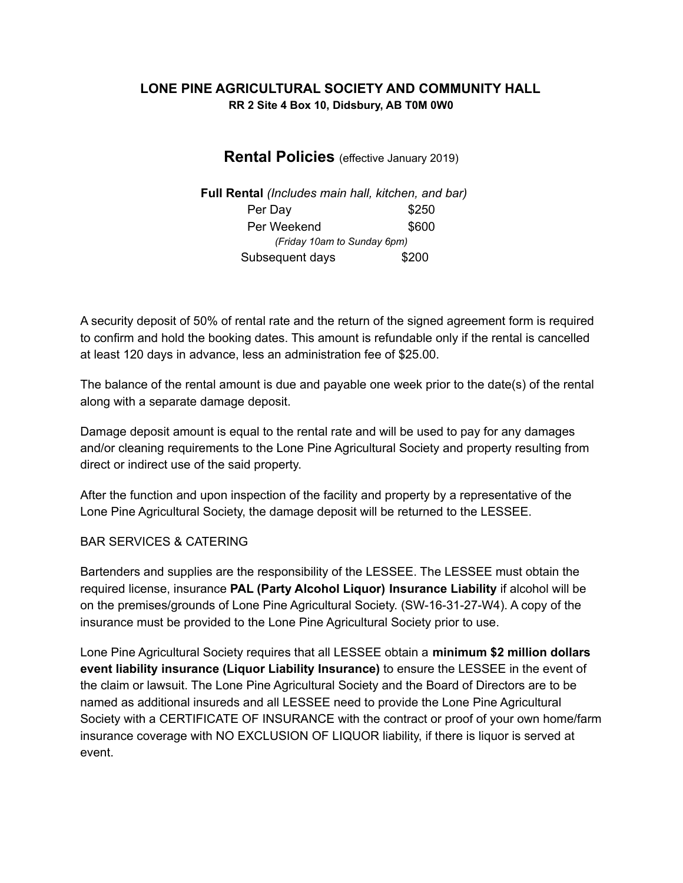## **LONE PINE AGRICULTURAL SOCIETY AND COMMUNITY HALL RR 2 Site 4 Box 10, Didsbury, AB T0M 0W0**

# **Rental Policies** (effective January 2019)

**Full Rental** *(Includes main hall, kitchen, and bar)* Per Day \$250 Per Weekend  $$600$ *(Friday 10am to Sunday 6pm)* Subsequent days \$200

A security deposit of 50% of rental rate and the return of the signed agreement form is required to confirm and hold the booking dates. This amount is refundable only if the rental is cancelled at least 120 days in advance, less an administration fee of \$25.00.

The balance of the rental amount is due and payable one week prior to the date(s) of the rental along with a separate damage deposit.

Damage deposit amount is equal to the rental rate and will be used to pay for any damages and/or cleaning requirements to the Lone Pine Agricultural Society and property resulting from direct or indirect use of the said property.

After the function and upon inspection of the facility and property by a representative of the Lone Pine Agricultural Society, the damage deposit will be returned to the LESSEE.

## BAR SERVICES & CATERING

Bartenders and supplies are the responsibility of the LESSEE. The LESSEE must obtain the required license, insurance **PAL (Party Alcohol Liquor) Insurance Liability** if alcohol will be on the premises/grounds of Lone Pine Agricultural Society. (SW-16-31-27-W4). A copy of the insurance must be provided to the Lone Pine Agricultural Society prior to use.

Lone Pine Agricultural Society requires that all LESSEE obtain a **minimum \$2 million dollars event liability insurance (Liquor Liability Insurance)** to ensure the LESSEE in the event of the claim or lawsuit. The Lone Pine Agricultural Society and the Board of Directors are to be named as additional insureds and all LESSEE need to provide the Lone Pine Agricultural Society with a CERTIFICATE OF INSURANCE with the contract or proof of your own home/farm insurance coverage with NO EXCLUSION OF LIQUOR liability, if there is liquor is served at event.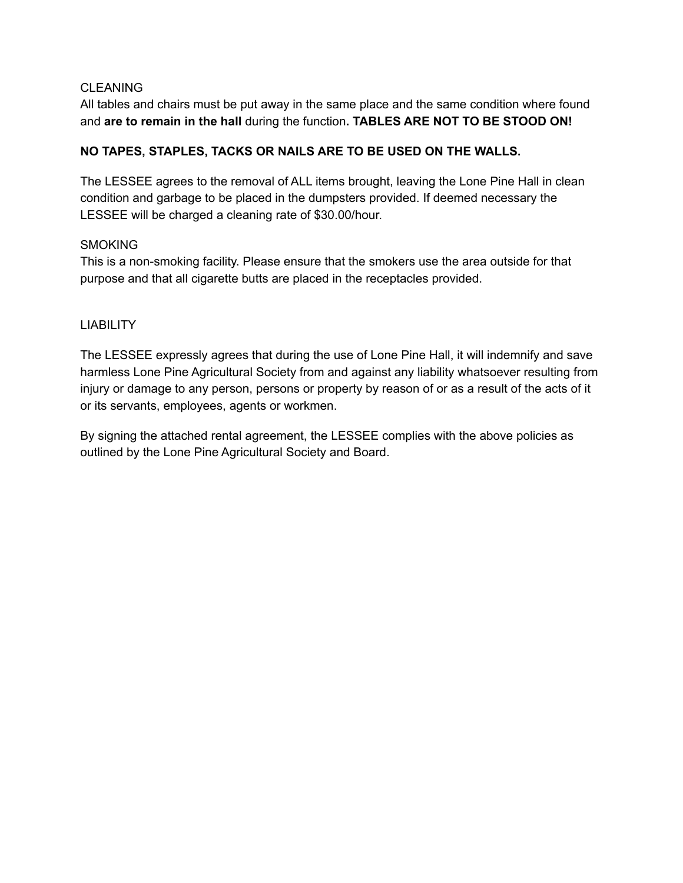### **CLEANING**

All tables and chairs must be put away in the same place and the same condition where found and **are to remain in the hall** during the function**. TABLES ARE NOT TO BE STOOD ON!**

## **NO TAPES, STAPLES, TACKS OR NAILS ARE TO BE USED ON THE WALLS.**

The LESSEE agrees to the removal of ALL items brought, leaving the Lone Pine Hall in clean condition and garbage to be placed in the dumpsters provided. If deemed necessary the LESSEE will be charged a cleaning rate of \$30.00/hour.

#### **SMOKING**

This is a non-smoking facility. Please ensure that the smokers use the area outside for that purpose and that all cigarette butts are placed in the receptacles provided.

### **LIABILITY**

The LESSEE expressly agrees that during the use of Lone Pine Hall, it will indemnify and save harmless Lone Pine Agricultural Society from and against any liability whatsoever resulting from injury or damage to any person, persons or property by reason of or as a result of the acts of it or its servants, employees, agents or workmen.

By signing the attached rental agreement, the LESSEE complies with the above policies as outlined by the Lone Pine Agricultural Society and Board.